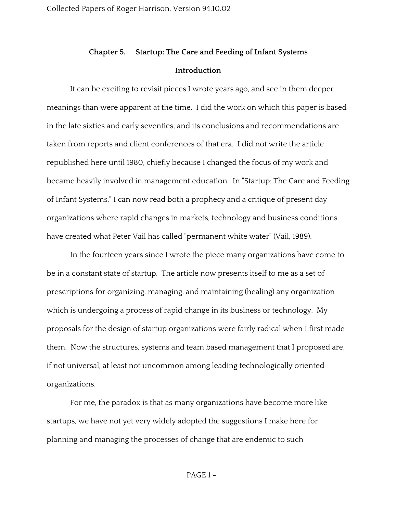# **Chapter 5. Startup: The Care and Feeding of Infant Systems Introduction**

It can be exciting to revisit pieces I wrote years ago, and see in them deeper meanings than were apparent at the time. I did the work on which this paper is based in the late sixties and early seventies, and its conclusions and recommendations are taken from reports and client conferences of that era. I did not write the article republished here until 1980, chiefly because I changed the focus of my work and became heavily involved in management education. In "Startup: The Care and Feeding of Infant Systems," I can now read both a prophecy and a critique of present day organizations where rapid changes in markets, technology and business conditions have created what Peter Vail has called "permanent white water" (Vail, 1989).

In the fourteen years since I wrote the piece many organizations have come to be in a constant state of startup. The article now presents itself to me as a set of prescriptions for organizing, managing, and maintaining (healing) any organization which is undergoing a process of rapid change in its business or technology. My proposals for the design of startup organizations were fairly radical when I first made them. Now the structures, systems and team based management that I proposed are, if not universal, at least not uncommon among leading technologically oriented organizations.

For me, the paradox is that as many organizations have become more like startups, we have not yet very widely adopted the suggestions I make here for planning and managing the processes of change that are endemic to such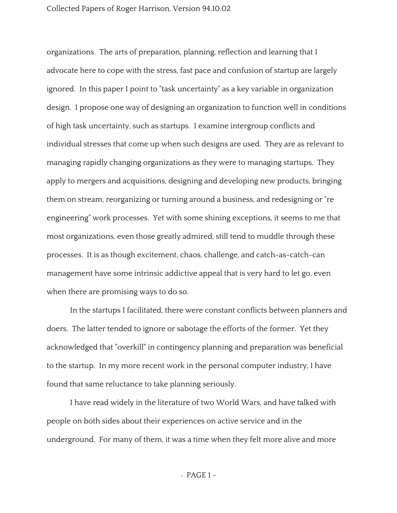organizations. The arts of preparation, planning, reflection and learning that I advocate here to cope with the stress, fast pace and confusion of startup are largely ignored. In this paper I point to "task uncertainty" as a key variable in organization design. I propose one way of designing an organization to function well in conditions of high task uncertainty, such as startups. I examine intergroup conflicts and individual stresses that come up when such designs are used. They are as relevant to managing rapidly changing organizations as they were to managing startups. They apply to mergers and acquisitions, designing and developing new products, bringing them on stream, reorganizing or turning around a business, and redesigning or "re engineering" work processes. Yet with some shining exceptions, it seems to me that most organizations, even those greatly admired, still tend to muddle through these processes. It is as though excitement, chaos, challenge, and catch-as-catch-can management have some intrinsic addictive appeal that is very hard to let go, even when there are promising ways to do so.

In the startups I facilitated, there were constant conflicts between planners and doers. The latter tended to ignore or sabotage the efforts of the former. Yet they acknowledged that "overkill" in contingency planning and preparation was beneficial to the startup. In my more recent work in the personal computer industry, I have found that same reluctance to take planning seriously.

I have read widely in the literature of two World Wars, and have talked with people on both sides about their experiences on active service and in the underground. For many of them, it was a time when they felt more alive and more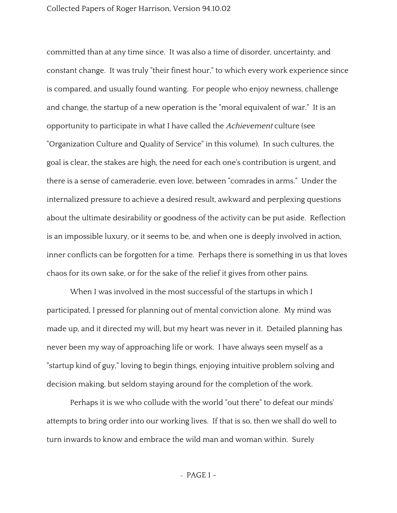committed than at any time since. It was also a time of disorder, uncertainty, and constant change. It was truly "their finest hour," to which every work experience since is compared, and usually found wanting. For people who enjoy newness, challenge and change, the startup of a new operation is the "moral equivalent of war." It is an opportunity to participate in what I have called the Achievement culture (see "Organization Culture and Quality of Service" in this volume). In such cultures, the goal is clear, the stakes are high, the need for each one's contribution is urgent, and there is a sense of cameraderie, even love, between "comrades in arms." Under the internalized pressure to achieve a desired result, awkward and perplexing questions about the ultimate desirability or goodness of the activity can be put aside. Reflection is an impossible luxury, or it seems to be, and when one is deeply involved in action, inner conflicts can be forgotten for a time. Perhaps there is something in us that loves chaos for its own sake, or for the sake of the relief it gives from other pains.

When I was involved in the most successful of the startups in which I participated, I pressed for planning out of mental conviction alone. My mind was made up, and it directed my will, but my heart was never in it. Detailed planning has never been my way of approaching life or work. I have always seen myself as a "startup kind of guy," loving to begin things, enjoying intuitive problem solving and decision making, but seldom staying around for the completion of the work.

Perhaps it is we who collude with the world "out there" to defeat our minds' attempts to bring order into our working lives. If that is so, then we shall do well to turn inwards to know and embrace the wild man and woman within. Surely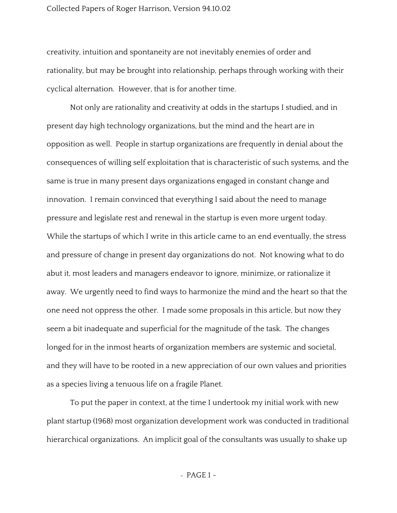creativity, intuition and spontaneity are not inevitably enemies of order and rationality, but may be brought into relationship, perhaps through working with their cyclical alternation. However, that is for another time.

Not only are rationality and creativity at odds in the startups I studied, and in present day high technology organizations, but the mind and the heart are in opposition as well. People in startup organizations are frequently in denial about the consequences of willing self exploitation that is characteristic of such systems, and the same is true in many present days organizations engaged in constant change and innovation. I remain convinced that everything I said about the need to manage pressure and legislate rest and renewal in the startup is even more urgent today. While the startups of which I write in this article came to an end eventually, the stress and pressure of change in present day organizations do not. Not knowing what to do abut it, most leaders and managers endeavor to ignore, minimize, or rationalize it away. We urgently need to find ways to harmonize the mind and the heart so that the one need not oppress the other. I made some proposals in this article, but now they seem a bit inadequate and superficial for the magnitude of the task. The changes longed for in the inmost hearts of organization members are systemic and societal, and they will have to be rooted in a new appreciation of our own values and priorities as a species living a tenuous life on a fragile Planet.

To put the paper in context, at the time I undertook my initial work with new plant startup (1968) most organization development work was conducted in traditional hierarchical organizations. An implicit goal of the consultants was usually to shake up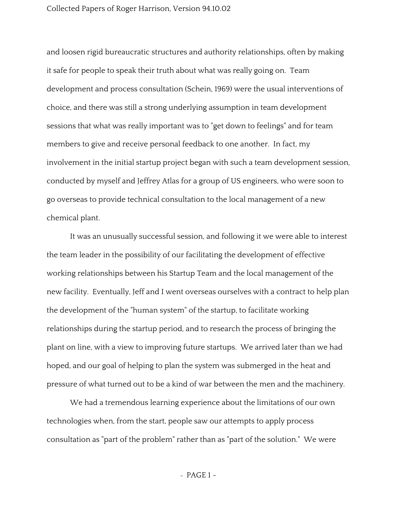and loosen rigid bureaucratic structures and authority relationships, often by making it safe for people to speak their truth about what was really going on. Team development and process consultation (Schein, 1969) were the usual interventions of choice, and there was still a strong underlying assumption in team development sessions that what was really important was to "get down to feelings" and for team members to give and receive personal feedback to one another. In fact, my involvement in the initial startup project began with such a team development session, conducted by myself and Jeffrey Atlas for a group of US engineers, who were soon to go overseas to provide technical consultation to the local management of a new chemical plant.

It was an unusually successful session, and following it we were able to interest the team leader in the possibility of our facilitating the development of effective working relationships between his Startup Team and the local management of the new facility. Eventually, Jeff and I went overseas ourselves with a contract to help plan the development of the "human system" of the startup, to facilitate working relationships during the startup period, and to research the process of bringing the plant on line, with a view to improving future startups. We arrived later than we had hoped, and our goal of helping to plan the system was submerged in the heat and pressure of what turned out to be a kind of war between the men and the machinery.

We had a tremendous learning experience about the limitations of our own technologies when, from the start, people saw our attempts to apply process consultation as "part of the problem" rather than as "part of the solution." We were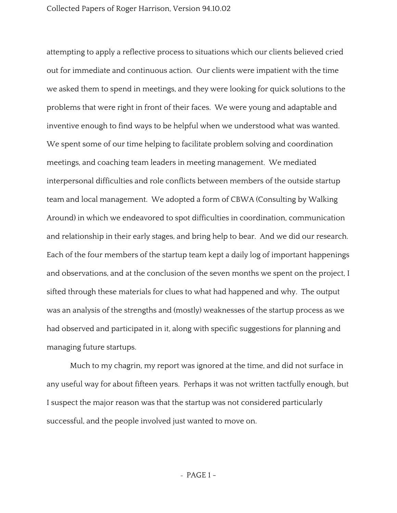attempting to apply a reflective process to situations which our clients believed cried out for immediate and continuous action. Our clients were impatient with the time we asked them to spend in meetings, and they were looking for quick solutions to the problems that were right in front of their faces. We were young and adaptable and inventive enough to find ways to be helpful when we understood what was wanted. We spent some of our time helping to facilitate problem solving and coordination meetings, and coaching team leaders in meeting management. We mediated interpersonal difficulties and role conflicts between members of the outside startup team and local management. We adopted a form of CBWA (Consulting by Walking Around) in which we endeavored to spot difficulties in coordination, communication and relationship in their early stages, and bring help to bear. And we did our research. Each of the four members of the startup team kept a daily log of important happenings and observations, and at the conclusion of the seven months we spent on the project, I sifted through these materials for clues to what had happened and why. The output was an analysis of the strengths and (mostly) weaknesses of the startup process as we had observed and participated in it, along with specific suggestions for planning and managing future startups.

Much to my chagrin, my report was ignored at the time, and did not surface in any useful way for about fifteen years. Perhaps it was not written tactfully enough, but I suspect the major reason was that the startup was not considered particularly successful, and the people involved just wanted to move on.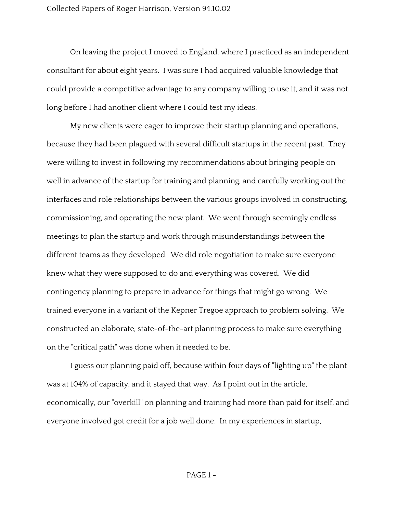On leaving the project I moved to England, where I practiced as an independent consultant for about eight years. I was sure I had acquired valuable knowledge that could provide a competitive advantage to any company willing to use it, and it was not long before I had another client where I could test my ideas.

My new clients were eager to improve their startup planning and operations, because they had been plagued with several difficult startups in the recent past. They were willing to invest in following my recommendations about bringing people on well in advance of the startup for training and planning, and carefully working out the interfaces and role relationships between the various groups involved in constructing, commissioning, and operating the new plant. We went through seemingly endless meetings to plan the startup and work through misunderstandings between the different teams as they developed. We did role negotiation to make sure everyone knew what they were supposed to do and everything was covered. We did contingency planning to prepare in advance for things that might go wrong. We trained everyone in a variant of the Kepner Tregoe approach to problem solving. We constructed an elaborate, state-of-the-art planning process to make sure everything on the "critical path" was done when it needed to be.

I guess our planning paid off, because within four days of "lighting up" the plant was at 104% of capacity, and it stayed that way. As I point out in the article, economically, our "overkill" on planning and training had more than paid for itself, and everyone involved got credit for a job well done. In my experiences in startup,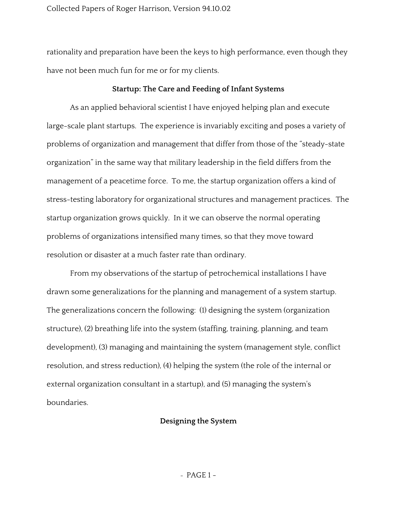rationality and preparation have been the keys to high performance, even though they have not been much fun for me or for my clients.

# **Startup: The Care and Feeding of Infant Systems**

As an applied behavioral scientist I have enjoyed helping plan and execute large-scale plant startups. The experience is invariably exciting and poses a variety of problems of organization and management that differ from those of the "steady-state organization" in the same way that military leadership in the field differs from the management of a peacetime force. To me, the startup organization offers a kind of stress-testing laboratory for organizational structures and management practices. The startup organization grows quickly. In it we can observe the normal operating problems of organizations intensified many times, so that they move toward resolution or disaster at a much faster rate than ordinary.

From my observations of the startup of petrochemical installations I have drawn some generalizations for the planning and management of a system startup. The generalizations concern the following: (1) designing the system (organization structure), (2) breathing life into the system (staffing, training, planning, and team development), (3) managing and maintaining the system (management style, conflict resolution, and stress reduction), (4) helping the system (the role of the internal or external organization consultant in a startup), and (5) managing the system's boundaries.

# **Designing the System**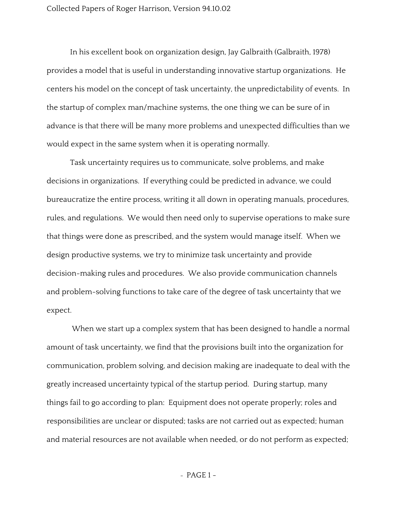In his excellent book on organization design, Jay Galbraith (Galbraith, 1978) provides a model that is useful in understanding innovative startup organizations. He centers his model on the concept of task uncertainty, the unpredictability of events. In the startup of complex man/machine systems, the one thing we can be sure of in advance is that there will be many more problems and unexpected difficulties than we would expect in the same system when it is operating normally.

Task uncertainty requires us to communicate, solve problems, and make decisions in organizations. If everything could be predicted in advance, we could bureaucratize the entire process, writing it all down in operating manuals, procedures, rules, and regulations. We would then need only to supervise operations to make sure that things were done as prescribed, and the system would manage itself. When we design productive systems, we try to minimize task uncertainty and provide decision-making rules and procedures. We also provide communication channels and problem-solving functions to take care of the degree of task uncertainty that we expect.

When we start up a complex system that has been designed to handle a normal amount of task uncertainty, we find that the provisions built into the organization for communication, problem solving, and decision making are inadequate to deal with the greatly increased uncertainty typical of the startup period. During startup, many things fail to go according to plan: Equipment does not operate properly; roles and responsibilities are unclear or disputed; tasks are not carried out as expected; human and material resources are not available when needed, or do not perform as expected;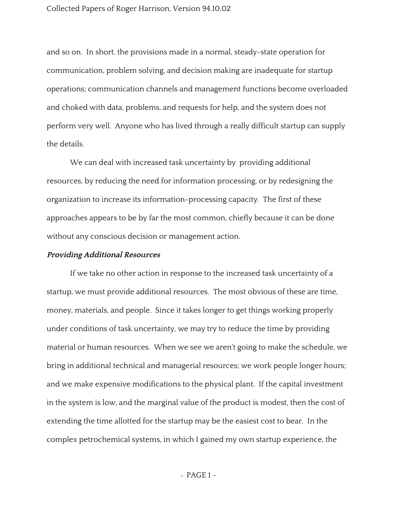and so on. In short, the provisions made in a normal, steady-state operation for communication, problem solving, and decision making are inadequate for startup operations; communication channels and management functions become overloaded and choked with data, problems, and requests for help, and the system does not perform very well. Anyone who has lived through a really difficult startup can supply the details.

We can deal with increased task uncertainty by providing additional resources, by reducing the need for information processing, or by redesigning the organization to increase its information-processing capacity. The first of these approaches appears to be by far the most common, chiefly because it can be done without any conscious decision or management action.

# **Providing Additional Resources**

If we take no other action in response to the increased task uncertainty of a startup, we must provide additional resources. The most obvious of these are time, money, materials, and people. Since it takes longer to get things working properly under conditions of task uncertainty, we may try to reduce the time by providing material or human resources. When we see we aren't going to make the schedule, we bring in additional technical and managerial resources; we work people longer hours; and we make expensive modifications to the physical plant. If the capital investment in the system is low, and the marginal value of the product is modest, then the cost of extending the time allotted for the startup may be the easiest cost to bear. In the complex petrochemical systems, in which I gained my own startup experience, the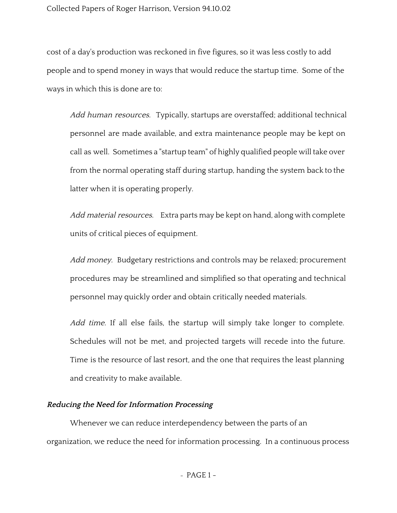cost of a day's production was reckoned in five figures, so it was less costly to add people and to spend money in ways that would reduce the startup time. Some of the ways in which this is done are to:

Add human resources. Typically, startups are overstaffed; additional technical personnel are made available, and extra maintenance people may be kept on call as well. Sometimes a "startup team" of highly qualified people will take over from the normal operating staff during startup, handing the system back to the latter when it is operating properly.

Add material resources. Extra parts may be kept on hand, along with complete units of critical pieces of equipment.

Add money. Budgetary restrictions and controls may be relaxed; procurement procedures may be streamlined and simplified so that operating and technical personnel may quickly order and obtain critically needed materials.

Add time. If all else fails, the startup will simply take longer to complete. Schedules will not be met, and projected targets will recede into the future. Time is the resource of last resort, and the one that requires the least planning and creativity to make available.

# **Reducing the Need for Information Processing**

Whenever we can reduce interdependency between the parts of an organization, we reduce the need for information processing. In a continuous process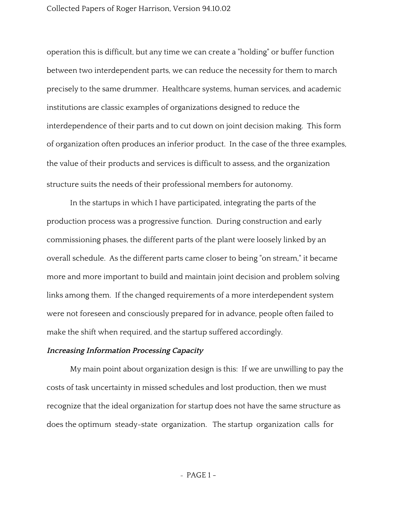operation this is difficult, but any time we can create a "holding" or buffer function between two interdependent parts, we can reduce the necessity for them to march precisely to the same drummer. Healthcare systems, human services, and academic institutions are classic examples of organizations designed to reduce the interdependence of their parts and to cut down on joint decision making. This form of organization often produces an inferior product. In the case of the three examples, the value of their products and services is difficult to assess, and the organization structure suits the needs of their professional members for autonomy.

In the startups in which I have participated, integrating the parts of the production process was a progressive function. During construction and early commissioning phases, the different parts of the plant were loosely linked by an overall schedule. As the different parts came closer to being "on stream," it became more and more important to build and maintain joint decision and problem solving links among them. If the changed requirements of a more interdependent system were not foreseen and consciously prepared for in advance, people often failed to make the shift when required, and the startup suffered accordingly.

# **Increasing Information Processing Capacity**

My main point about organization design is this: If we are unwilling to pay the costs of task uncertainty in missed schedules and lost production, then we must recognize that the ideal organization for startup does not have the same structure as does the optimum steady-state organization. The startup organization calls for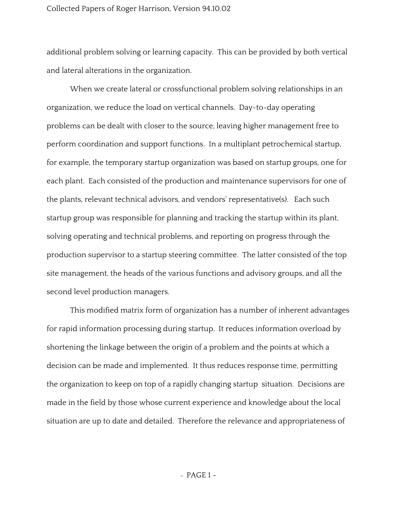additional problem solving or learning capacity. This can be provided by both vertical and lateral alterations in the organization.

When we create lateral or crossfunctional problem solving relationships in an organization, we reduce the load on vertical channels. Day-to-day operating problems can be dealt with closer to the source, leaving higher management free to perform coordination and support functions. In a multiplant petrochemical startup, for example, the temporary startup organization was based on startup groups, one for each plant. Each consisted of the production and maintenance supervisors for one of the plants, relevant technical advisors, and vendors' representative(s). Each such startup group was responsible for planning and tracking the startup within its plant, solving operating and technical problems, and reporting on progress through the production supervisor to a startup steering committee. The latter consisted of the top site management, the heads of the various functions and advisory groups, and all the second level production managers.

This modified matrix form of organization has a number of inherent advantages for rapid information processing during startup. It reduces information overload by shortening the linkage between the origin of a problem and the points at which a decision can be made and implemented. It thus reduces response time, permitting the organization to keep on top of a rapidly changing startup situation. Decisions are made in the field by those whose current experience and knowledge about the local situation are up to date and detailed. Therefore the relevance and appropriateness of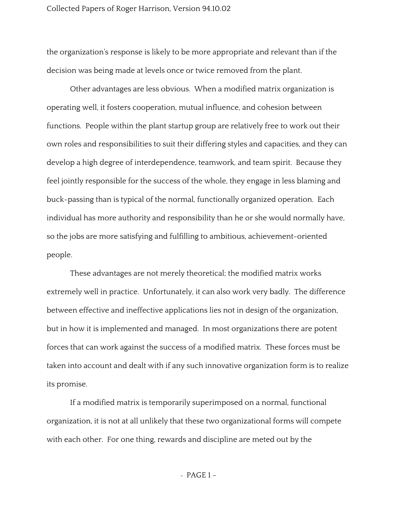the organization's response is likely to be more appropriate and relevant than if the decision was being made at levels once or twice removed from the plant.

Other advantages are less obvious. When a modified matrix organization is operating well, it fosters cooperation, mutual influence, and cohesion between functions. People within the plant startup group are relatively free to work out their own roles and responsibilities to suit their differing styles and capacities, and they can develop a high degree of interdependence, teamwork, and team spirit. Because they feel jointly responsible for the success of the whole, they engage in less blaming and buck-passing than is typical of the normal, functionally organized operation. Each individual has more authority and responsibility than he or she would normally have, so the jobs are more satisfying and fulfilling to ambitious, achievement-oriented people.

These advantages are not merely theoretical; the modified matrix works extremely well in practice. Unfortunately, it can also work very badly. The difference between effective and ineffective applications lies not in design of the organization, but in how it is implemented and managed. In most organizations there are potent forces that can work against the success of a modified matrix. These forces must be taken into account and dealt with if any such innovative organization form is to realize its promise.

If a modified matrix is temporarily superimposed on a normal, functional organization, it is not at all unlikely that these two organizational forms will compete with each other. For one thing, rewards and discipline are meted out by the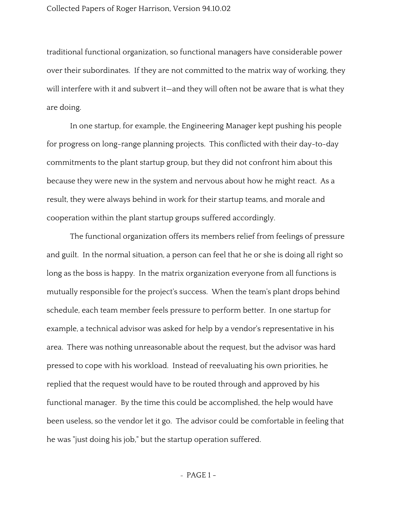traditional functional organization, so functional managers have considerable power over their subordinates. If they are not committed to the matrix way of working, they will interfere with it and subvert it—and they will often not be aware that is what they are doing.

In one startup, for example, the Engineering Manager kept pushing his people for progress on long-range planning projects. This conflicted with their day-to-day commitments to the plant startup group, but they did not confront him about this because they were new in the system and nervous about how he might react. As a result, they were always behind in work for their startup teams, and morale and cooperation within the plant startup groups suffered accordingly.

The functional organization offers its members relief from feelings of pressure and guilt. In the normal situation, a person can feel that he or she is doing all right so long as the boss is happy. In the matrix organization everyone from all functions is mutually responsible for the project's success. When the team's plant drops behind schedule, each team member feels pressure to perform better. In one startup for example, a technical advisor was asked for help by a vendor's representative in his area. There was nothing unreasonable about the request, but the advisor was hard pressed to cope with his workload. Instead of reevaluating his own priorities, he replied that the request would have to be routed through and approved by his functional manager. By the time this could be accomplished, the help would have been useless, so the vendor let it go. The advisor could be comfortable in feeling that he was "just doing his job," but the startup operation suffered.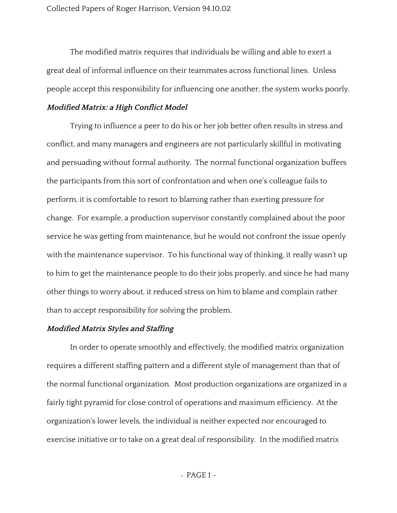The modified matrix requires that individuals be willing and able to exert a great deal of informal influence on their teammates across functional lines. Unless people accept this responsibility for influencing one another, the system works poorly.

# **Modified Matrix: <sup>a</sup> High Conflict Model**

Trying to influence a peer to do his or her job better often results in stress and conflict, and many managers and engineers are not particularly skillful in motivating and persuading without formal authority. The normal functional organization buffers the participants from this sort of confrontation and when one's colleague fails to perform, it is comfortable to resort to blaming rather than exerting pressure for change. For example, a production supervisor constantly complained about the poor service he was getting from maintenance, but he would not confront the issue openly with the maintenance supervisor. To his functional way of thinking, it really wasn't up to him to get the maintenance people to do their jobs properly, and since he had many other things to worry about, it reduced stress on him to blame and complain rather than to accept responsibility for solving the problem.

# **Modified Matrix Styles and Staffing**

In order to operate smoothly and effectively, the modified matrix organization requires a different staffing pattern and a different style of management than that of the normal functional organization. Most production organizations are organized in a fairly tight pyramid for close control of operations and maximum efficiency. At the organization's lower levels, the individual is neither expected nor encouraged to exercise initiative or to take on a great deal of responsibility. In the modified matrix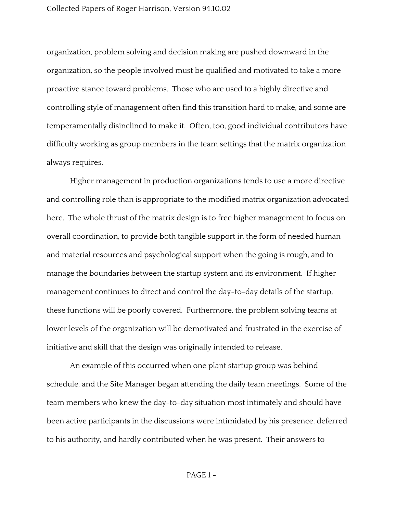organization, problem solving and decision making are pushed downward in the organization, so the people involved must be qualified and motivated to take a more proactive stance toward problems. Those who are used to a highly directive and controlling style of management often find this transition hard to make, and some are temperamentally disinclined to make it. Often, too, good individual contributors have difficulty working as group members in the team settings that the matrix organization always requires.

Higher management in production organizations tends to use a more directive and controlling role than is appropriate to the modified matrix organization advocated here. The whole thrust of the matrix design is to free higher management to focus on overall coordination, to provide both tangible support in the form of needed human and material resources and psychological support when the going is rough, and to manage the boundaries between the startup system and its environment. If higher management continues to direct and control the day-to-day details of the startup, these functions will be poorly covered. Furthermore, the problem solving teams at lower levels of the organization will be demotivated and frustrated in the exercise of initiative and skill that the design was originally intended to release.

An example of this occurred when one plant startup group was behind schedule, and the Site Manager began attending the daily team meetings. Some of the team members who knew the day-to-day situation most intimately and should have been active participants in the discussions were intimidated by his presence, deferred to his authority, and hardly contributed when he was present. Their answers to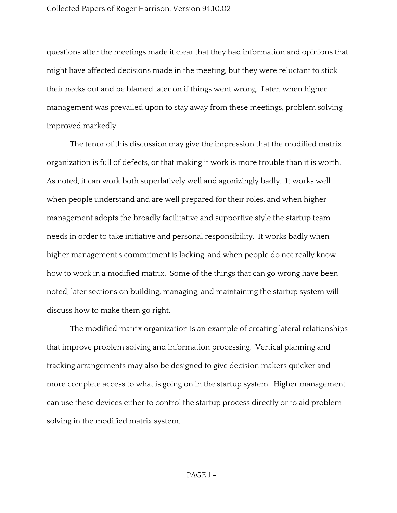questions after the meetings made it clear that they had information and opinions that might have affected decisions made in the meeting, but they were reluctant to stick their necks out and be blamed later on if things went wrong. Later, when higher management was prevailed upon to stay away from these meetings, problem solving improved markedly.

The tenor of this discussion may give the impression that the modified matrix organization is full of defects, or that making it work is more trouble than it is worth. As noted, it can work both superlatively well and agonizingly badly. It works well when people understand and are well prepared for their roles, and when higher management adopts the broadly facilitative and supportive style the startup team needs in order to take initiative and personal responsibility. It works badly when higher management's commitment is lacking, and when people do not really know how to work in a modified matrix. Some of the things that can go wrong have been noted; later sections on building, managing, and maintaining the startup system will discuss how to make them go right.

The modified matrix organization is an example of creating lateral relationships that improve problem solving and information processing. Vertical planning and tracking arrangements may also be designed to give decision makers quicker and more complete access to what is going on in the startup system. Higher management can use these devices either to control the startup process directly or to aid problem solving in the modified matrix system.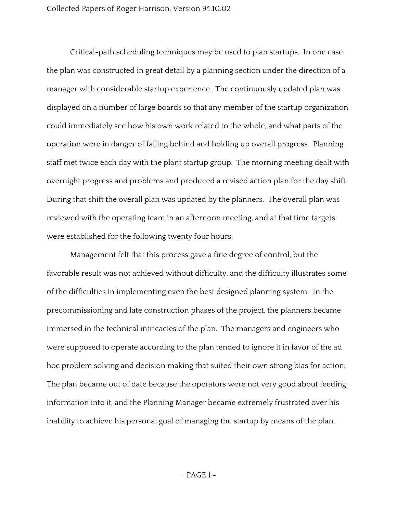Critical-path scheduling techniques may be used to plan startups. In one case the plan was constructed in great detail by a planning section under the direction of a manager with considerable startup experience. The continuously updated plan was displayed on a number of large boards so that any member of the startup organization could immediately see how his own work related to the whole, and what parts of the operation were in danger of falling behind and holding up overall progress. Planning staff met twice each day with the plant startup group. The morning meeting dealt with overnight progress and problems and produced a revised action plan for the day shift. During that shift the overall plan was updated by the planners. The overall plan was reviewed with the operating team in an afternoon meeting, and at that time targets were established for the following twenty four hours.

Management felt that this process gave a fine degree of control, but the favorable result was not achieved without difficulty, and the difficulty illustrates some of the difficulties in implementing even the best designed planning system: In the precommissioning and late construction phases of the project, the planners became immersed in the technical intricacies of the plan. The managers and engineers who were supposed to operate according to the plan tended to ignore it in favor of the ad hoc problem solving and decision making that suited their own strong bias for action. The plan became out of date because the operators were not very good about feeding information into it, and the Planning Manager became extremely frustrated over his inability to achieve his personal goal of managing the startup by means of the plan.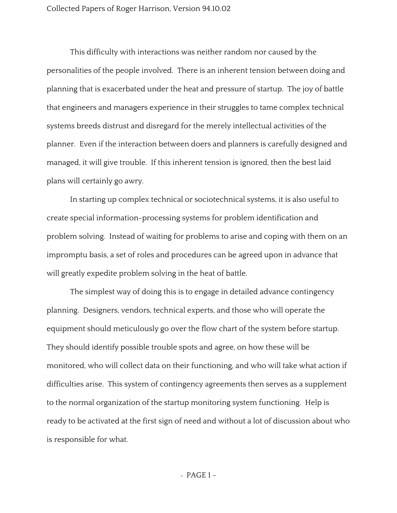This difficulty with interactions was neither random nor caused by the personalities of the people involved. There is an inherent tension between doing and planning that is exacerbated under the heat and pressure of startup. The joy of battle that engineers and managers experience in their struggles to tame complex technical systems breeds distrust and disregard for the merely intellectual activities of the planner. Even if the interaction between doers and planners is carefully designed and managed, it will give trouble. If this inherent tension is ignored, then the best laid plans will certainly go awry.

In starting up complex technical or sociotechnical systems, it is also useful to create special information-processing systems for problem identification and problem solving. Instead of waiting for problems to arise and coping with them on an impromptu basis, a set of roles and procedures can be agreed upon in advance that will greatly expedite problem solving in the heat of battle.

The simplest way of doing this is to engage in detailed advance contingency planning. Designers, vendors, technical experts, and those who will operate the equipment should meticulously go over the flow chart of the system before startup. They should identify possible trouble spots and agree, on how these will be monitored, who will collect data on their functioning, and who will take what action if difficulties arise. This system of contingency agreements then serves as a supplement to the normal organization of the startup monitoring system functioning. Help is ready to be activated at the first sign of need and without a lot of discussion about who is responsible for what.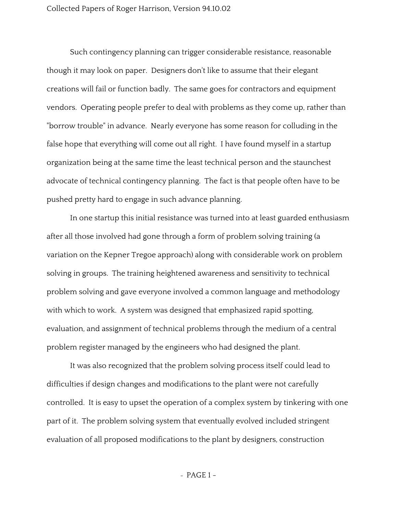Such contingency planning can trigger considerable resistance, reasonable though it may look on paper. Designers don't like to assume that their elegant creations will fail or function badly. The same goes for contractors and equipment vendors. Operating people prefer to deal with problems as they come up, rather than "borrow trouble" in advance. Nearly everyone has some reason for colluding in the false hope that everything will come out all right. I have found myself in a startup organization being at the same time the least technical person and the staunchest advocate of technical contingency planning. The fact is that people often have to be pushed pretty hard to engage in such advance planning.

In one startup this initial resistance was turned into at least guarded enthusiasm after all those involved had gone through a form of problem solving training (a variation on the Kepner Tregoe approach) along with considerable work on problem solving in groups. The training heightened awareness and sensitivity to technical problem solving and gave everyone involved a common language and methodology with which to work. A system was designed that emphasized rapid spotting, evaluation, and assignment of technical problems through the medium of a central problem register managed by the engineers who had designed the plant.

It was also recognized that the problem solving process itself could lead to difficulties if design changes and modifications to the plant were not carefully controlled. It is easy to upset the operation of a complex system by tinkering with one part of it. The problem solving system that eventually evolved included stringent evaluation of all proposed modifications to the plant by designers, construction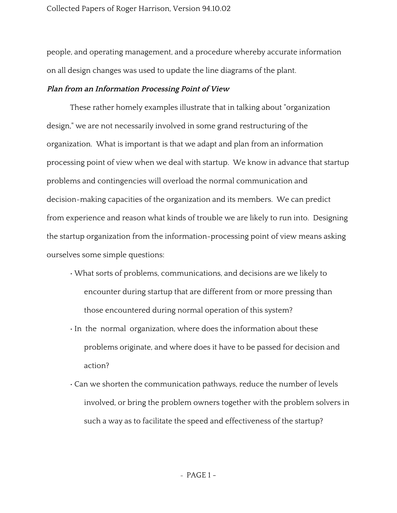people, and operating management, and a procedure whereby accurate information on all design changes was used to update the line diagrams of the plant.

# **Plan from an Information Processing Point of View**

These rather homely examples illustrate that in talking about "organization design," we are not necessarily involved in some grand restructuring of the organization. What is important is that we adapt and plan from an information processing point of view when we deal with startup. We know in advance that startup problems and contingencies will overload the normal communication and decision-making capacities of the organization and its members. We can predict from experience and reason what kinds of trouble we are likely to run into. Designing the startup organization from the information-processing point of view means asking ourselves some simple questions:

- What sorts of problems, communications, and decisions are we likely to encounter during startup that are different from or more pressing than those encountered during normal operation of this system?
- In the normal organization, where does the information about these problems originate, and where does it have to be passed for decision and action?
- Can we shorten the communication pathways, reduce the number of levels involved, or bring the problem owners together with the problem solvers in such a way as to facilitate the speed and effectiveness of the startup?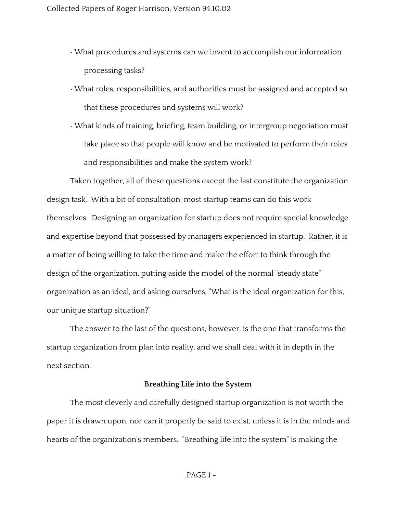- What procedures and systems can we invent to accomplish our information processing tasks?
- What roles, responsibilities, and authorities must be assigned and accepted so that these procedures and systems will work?
- What kinds of training, briefing, team building, or intergroup negotiation must take place so that people will know and be motivated to perform their roles and responsibilities and make the system work?

Taken together, all of these questions except the last constitute the organization design task. With a bit of consultation, most startup teams can do this work themselves. Designing an organization for startup does not require special knowledge and expertise beyond that possessed by managers experienced in startup. Rather, it is a matter of being willing to take the time and make the effort to think through the design of the organization, putting aside the model of the normal "steady state" organization as an ideal, and asking ourselves, "What is the ideal organization for this, our unique startup situation?"

The answer to the last of the questions, however, is the one that transforms the startup organization from plan into reality, and we shall deal with it in depth in the next section.

# **Breathing Life into the System**

The most cleverly and carefully designed startup organization is not worth the paper it is drawn upon, nor can it properly be said to exist, unless it is in the minds and hearts of the organization's members. "Breathing life into the system" is making the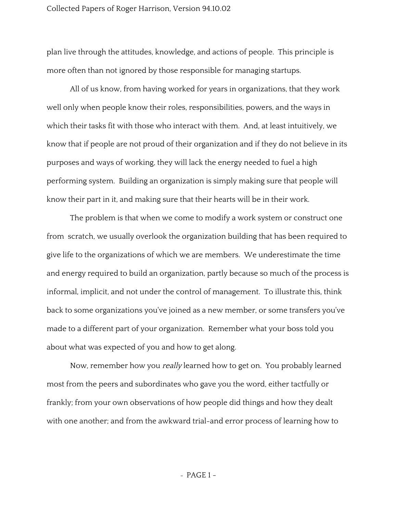plan live through the attitudes, knowledge, and actions of people. This principle is more often than not ignored by those responsible for managing startups.

All of us know, from having worked for years in organizations, that they work well only when people know their roles, responsibilities, powers, and the ways in which their tasks fit with those who interact with them. And, at least intuitively, we know that if people are not proud of their organization and if they do not believe in its purposes and ways of working, they will lack the energy needed to fuel a high performing system. Building an organization is simply making sure that people will know their part in it, and making sure that their hearts will be in their work.

The problem is that when we come to modify a work system or construct one from scratch, we usually overlook the organization building that has been required to give life to the organizations of which we are members. We underestimate the time and energy required to build an organization, partly because so much of the process is informal, implicit, and not under the control of management. To illustrate this, think back to some organizations you've joined as a new member, or some transfers you've made to a different part of your organization. Remember what your boss told you about what was expected of you and how to get along.

Now, remember how you *really* learned how to get on. You probably learned most from the peers and subordinates who gave you the word, either tactfully or frankly; from your own observations of how people did things and how they dealt with one another; and from the awkward trial-and error process of learning how to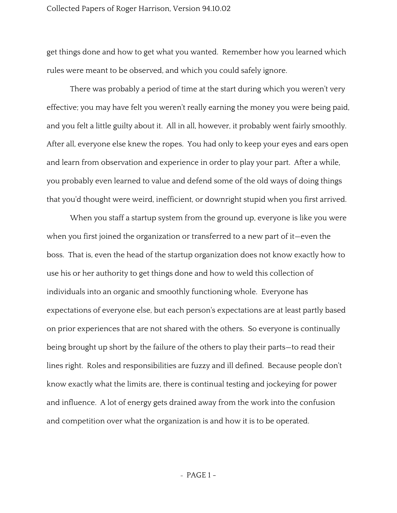get things done and how to get what you wanted. Remember how you learned which rules were meant to be observed, and which you could safely ignore.

There was probably a period of time at the start during which you weren't very effective; you may have felt you weren't really earning the money you were being paid, and you felt a little guilty about it. All in all, however, it probably went fairly smoothly. After all, everyone else knew the ropes. You had only to keep your eyes and ears open and learn from observation and experience in order to play your part. After a while, you probably even learned to value and defend some of the old ways of doing things that you'd thought were weird, inefficient, or downright stupid when you first arrived.

When you staff a startup system from the ground up, everyone is like you were when you first joined the organization or transferred to a new part of it—even the boss. That is, even the head of the startup organization does not know exactly how to use his or her authority to get things done and how to weld this collection of individuals into an organic and smoothly functioning whole. Everyone has expectations of everyone else, but each person's expectations are at least partly based on prior experiences that are not shared with the others. So everyone is continually being brought up short by the failure of the others to play their parts—to read their lines right. Roles and responsibilities are fuzzy and ill defined. Because people don't know exactly what the limits are, there is continual testing and jockeying for power and influence. A lot of energy gets drained away from the work into the confusion and competition over what the organization is and how it is to be operated.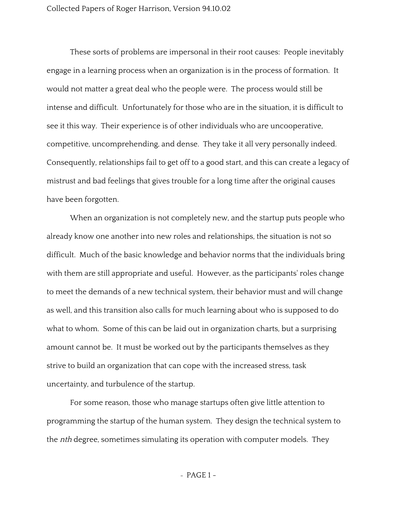These sorts of problems are impersonal in their root causes: People inevitably engage in a learning process when an organization is in the process of formation. It would not matter a great deal who the people were. The process would still be intense and difficult. Unfortunately for those who are in the situation, it is difficult to see it this way. Their experience is of other individuals who are uncooperative, competitive, uncomprehending, and dense. They take it all very personally indeed. Consequently, relationships fail to get off to a good start, and this can create a legacy of mistrust and bad feelings that gives trouble for a long time after the original causes have been forgotten.

When an organization is not completely new, and the startup puts people who already know one another into new roles and relationships, the situation is not so difficult. Much of the basic knowledge and behavior norms that the individuals bring with them are still appropriate and useful. However, as the participants' roles change to meet the demands of a new technical system, their behavior must and will change as well, and this transition also calls for much learning about who is supposed to do what to whom. Some of this can be laid out in organization charts, but a surprising amount cannot be. It must be worked out by the participants themselves as they strive to build an organization that can cope with the increased stress, task uncertainty, and turbulence of the startup.

For some reason, those who manage startups often give little attention to programming the startup of the human system. They design the technical system to the *nth* degree, sometimes simulating its operation with computer models. They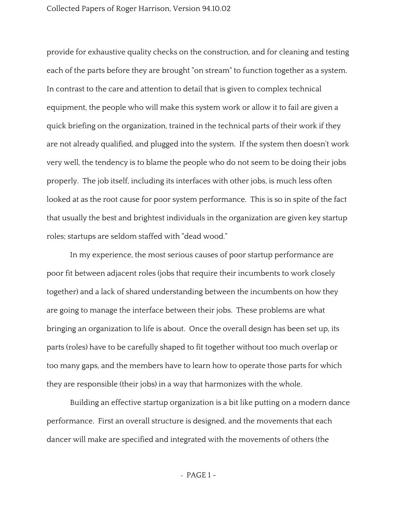provide for exhaustive quality checks on the construction, and for cleaning and testing each of the parts before they are brought "on stream" to function together as a system. In contrast to the care and attention to detail that is given to complex technical equipment, the people who will make this system work or allow it to fail are given a quick briefing on the organization, trained in the technical parts of their work if they are not already qualified, and plugged into the system. If the system then doesn't work very well, the tendency is to blame the people who do not seem to be doing their jobs properly. The job itself, including its interfaces with other jobs, is much less often looked at as the root cause for poor system performance. This is so in spite of the fact that usually the best and brightest individuals in the organization are given key startup roles; startups are seldom staffed with "dead wood."

In my experience, the most serious causes of poor startup performance are poor fit between adjacent roles (jobs that require their incumbents to work closely together) and a lack of shared understanding between the incumbents on how they are going to manage the interface between their jobs. These problems are what bringing an organization to life is about. Once the overall design has been set up, its parts (roles) have to be carefully shaped to fit together without too much overlap or too many gaps, and the members have to learn how to operate those parts for which they are responsible (their jobs) in a way that harmonizes with the whole.

Building an effective startup organization is a bit like putting on a modern dance performance. First an overall structure is designed, and the movements that each dancer will make are specified and integrated with the movements of others (the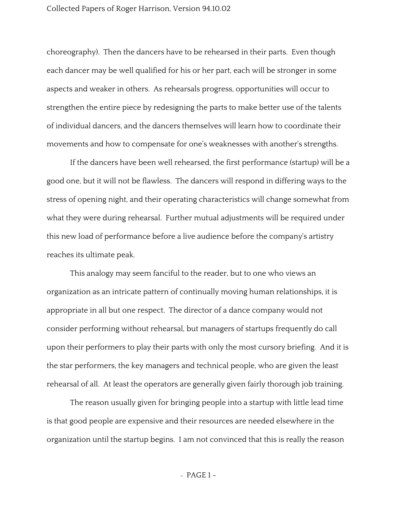choreography). Then the dancers have to be rehearsed in their parts. Even though each dancer may be well qualified for his or her part, each will be stronger in some aspects and weaker in others. As rehearsals progress, opportunities will occur to strengthen the entire piece by redesigning the parts to make better use of the talents of individual dancers, and the dancers themselves will learn how to coordinate their movements and how to compensate for one's weaknesses with another's strengths.

If the dancers have been well rehearsed, the first performance (startup) will be a good one, but it will not be flawless. The dancers will respond in differing ways to the stress of opening night, and their operating characteristics will change somewhat from what they were during rehearsal. Further mutual adjustments will be required under this new load of performance before a live audience before the company's artistry reaches its ultimate peak.

This analogy may seem fanciful to the reader, but to one who views an organization as an intricate pattern of continually moving human relationships, it is appropriate in all but one respect. The director of a dance company would not consider performing without rehearsal, but managers of startups frequently do call upon their performers to play their parts with only the most cursory briefing. And it is the star performers, the key managers and technical people, who are given the least rehearsal of all. At least the operators are generally given fairly thorough job training.

The reason usually given for bringing people into a startup with little lead time is that good people are expensive and their resources are needed elsewhere in the organization until the startup begins. I am not convinced that this is really the reason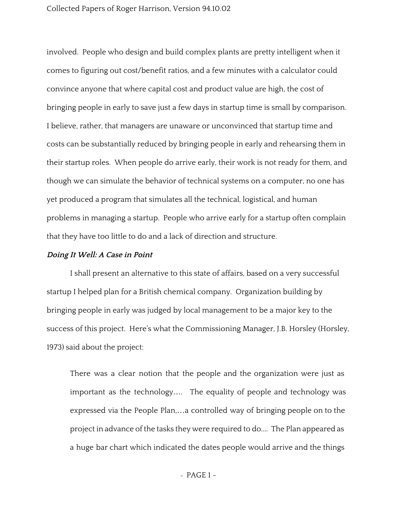involved. People who design and build complex plants are pretty intelligent when it comes to figuring out cost/benefit ratios, and a few minutes with a calculator could convince anyone that where capital cost and product value are high, the cost of bringing people in early to save just a few days in startup time is small by comparison. I believe, rather, that managers are unaware or unconvinced that startup time and costs can be substantially reduced by bringing people in early and rehearsing them in their startup roles. When people do arrive early, their work is not ready for them, and though we can simulate the behavior of technical systems on a computer, no one has yet produced a program that simulates all the technical, logistical, and human problems in managing a startup. People who arrive early for a startup often complain that they have too little to do and a lack of direction and structure.

## **Doing It Well: <sup>A</sup> Case in Point**

I shall present an alternative to this state of affairs, based on a very successful startup I helped plan for a British chemical company. Organization building by bringing people in early was judged by local management to be a major key to the success of this project. Here's what the Commissioning Manager, J.B. Horsley (Horsley, 1973) said about the project:

There was a clear notion that the people and the organization were just as important as the technology…. The equality of people and technology was expressed via the People Plan,…a controlled way of bringing people on to the project in advance of the tasks they were required to do.... The Plan appeared as a huge bar chart which indicated the dates people would arrive and the things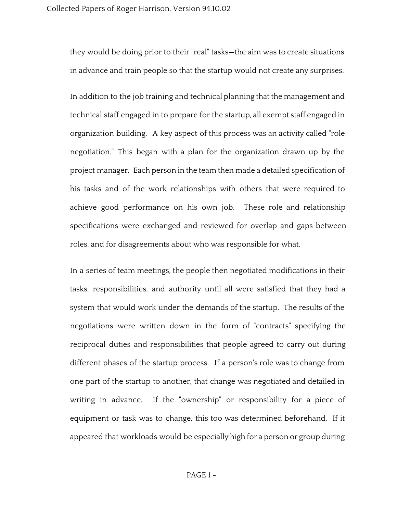they would be doing prior to their "real" tasks—the aim was to create situations in advance and train people so that the startup would not create any surprises.

In addition to the job training and technical planning that the management and technical staff engaged in to prepare for the startup, all exempt staff engaged in organization building. A key aspect of this process was an activity called "role negotiation." This began with a plan for the organization drawn up by the project manager. Each person in the team then made a detailed specification of his tasks and of the work relationships with others that were required to achieve good performance on his own job. These role and relationship specifications were exchanged and reviewed for overlap and gaps between roles, and for disagreements about who was responsible for what.

In a series of team meetings, the people then negotiated modifications in their tasks, responsibilities, and authority until all were satisfied that they had a system that would work under the demands of the startup. The results of the negotiations were written down in the form of "contracts" specifying the reciprocal duties and responsibilities that people agreed to carry out during different phases of the startup process. If a person's role was to change from one part of the startup to another, that change was negotiated and detailed in writing in advance. If the "ownership" or responsibility for a piece of equipment or task was to change, this too was determined beforehand. If it appeared that workloads would be especially high for a person or group during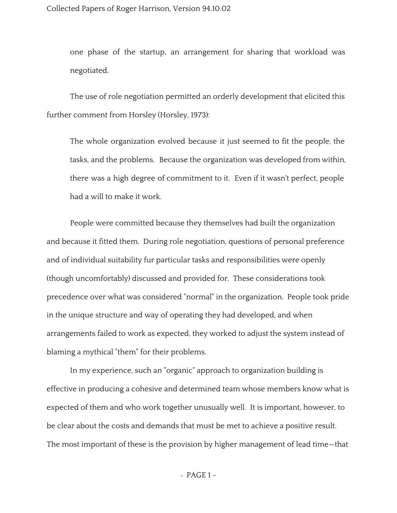one phase of the startup, an arrangement for sharing that workload was negotiated.

The use of role negotiation permitted an orderly development that elicited this further comment from Horsley (Horsley, 1973):

The whole organization evolved because it just seemed to fit the people, the tasks, and the problems. Because the organization was developed from within, there was a high degree of commitment to it. Even if it wasn't perfect, people had a will to make it work.

People were committed because they themselves had built the organization and because it fitted them. During role negotiation, questions of personal preference and of individual suitability fur particular tasks and responsibilities were openly (though uncomfortably) discussed and provided for. These considerations took precedence over what was considered "normal" in the organization. People took pride in the unique structure and way of operating they had developed, and when arrangements failed to work as expected, they worked to adjust the system instead of blaming a mythical "them" for their problems.

In my experience, such an "organic" approach to organization building is effective in producing a cohesive and determined team whose members know what is expected of them and who work together unusually well. It is important, however, to be clear about the costs and demands that must be met to achieve a positive result. The most important of these is the provision by higher management of lead time—that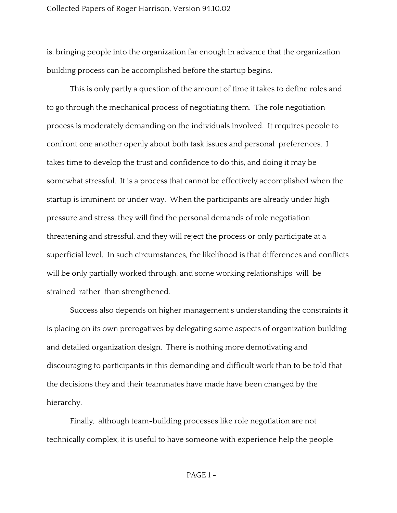is, bringing people into the organization far enough in advance that the organization building process can be accomplished before the startup begins.

This is only partly a question of the amount of time it takes to define roles and to go through the mechanical process of negotiating them. The role negotiation process is moderately demanding on the individuals involved. It requires people to confront one another openly about both task issues and personal preferences. I takes time to develop the trust and confidence to do this, and doing it may be somewhat stressful. It is a process that cannot be effectively accomplished when the startup is imminent or under way. When the participants are already under high pressure and stress, they will find the personal demands of role negotiation threatening and stressful, and they will reject the process or only participate at a superficial level. In such circumstances, the likelihood is that differences and conflicts will be only partially worked through, and some working relationships will be strained rather than strengthened.

Success also depends on higher management's understanding the constraints it is placing on its own prerogatives by delegating some aspects of organization building and detailed organization design. There is nothing more demotivating and discouraging to participants in this demanding and difficult work than to be told that the decisions they and their teammates have made have been changed by the hierarchy.

Finally, although team-building processes like role negotiation are not technically complex, it is useful to have someone with experience help the people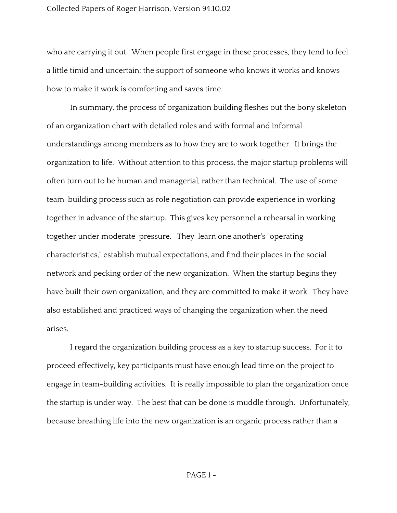who are carrying it out. When people first engage in these processes, they tend to feel a little timid and uncertain; the support of someone who knows it works and knows how to make it work is comforting and saves time.

In summary, the process of organization building fleshes out the bony skeleton of an organization chart with detailed roles and with formal and informal understandings among members as to how they are to work together. It brings the organization to life. Without attention to this process, the major startup problems will often turn out to be human and managerial, rather than technical. The use of some team-building process such as role negotiation can provide experience in working together in advance of the startup. This gives key personnel a rehearsal in working together under moderate pressure. They learn one another's "operating characteristics," establish mutual expectations, and find their places in the social network and pecking order of the new organization. When the startup begins they have built their own organization, and they are committed to make it work. They have also established and practiced ways of changing the organization when the need arises.

I regard the organization building process as a key to startup success. For it to proceed effectively, key participants must have enough lead time on the project to engage in team-building activities. It is really impossible to plan the organization once the startup is under way. The best that can be done is muddle through. Unfortunately, because breathing life into the new organization is an organic process rather than a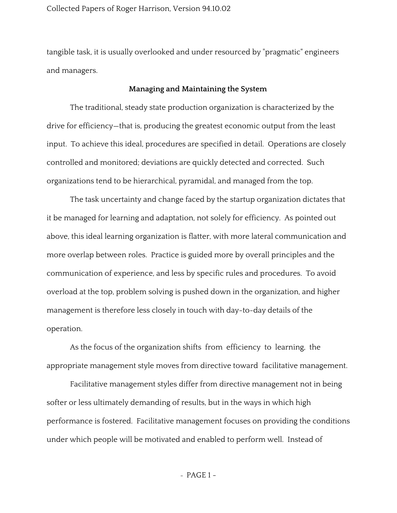tangible task, it is usually overlooked and under resourced by "pragmatic" engineers and managers.

## **Managing and Maintaining the System**

The traditional, steady state production organization is characterized by the drive for efficiency—that is, producing the greatest economic output from the least input. To achieve this ideal, procedures are specified in detail. Operations are closely controlled and monitored; deviations are quickly detected and corrected. Such organizations tend to be hierarchical, pyramidal, and managed from the top.

The task uncertainty and change faced by the startup organization dictates that it be managed for learning and adaptation, not solely for efficiency. As pointed out above, this ideal learning organization is flatter, with more lateral communication and more overlap between roles. Practice is guided more by overall principles and the communication of experience, and less by specific rules and procedures. To avoid overload at the top, problem solving is pushed down in the organization, and higher management is therefore less closely in touch with day-to-day details of the operation.

As the focus of the organization shifts from efficiency to learning, the appropriate management style moves from directive toward facilitative management.

Facilitative management styles differ from directive management not in being softer or less ultimately demanding of results, but in the ways in which high performance is fostered. Facilitative management focuses on providing the conditions under which people will be motivated and enabled to perform well. Instead of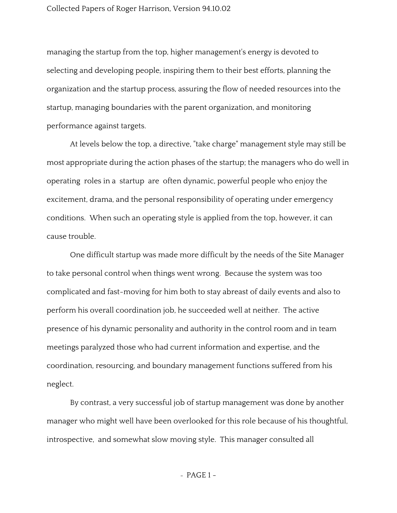managing the startup from the top, higher management's energy is devoted to selecting and developing people, inspiring them to their best efforts, planning the organization and the startup process, assuring the flow of needed resources into the startup, managing boundaries with the parent organization, and monitoring performance against targets.

At levels below the top, a directive, "take charge" management style may still be most appropriate during the action phases of the startup; the managers who do well in operating roles in a startup are often dynamic, powerful people who enjoy the excitement, drama, and the personal responsibility of operating under emergency conditions. When such an operating style is applied from the top, however, it can cause trouble.

One difficult startup was made more difficult by the needs of the Site Manager to take personal control when things went wrong. Because the system was too complicated and fast-moving for him both to stay abreast of daily events and also to perform his overall coordination job, he succeeded well at neither. The active presence of his dynamic personality and authority in the control room and in team meetings paralyzed those who had current information and expertise, and the coordination, resourcing, and boundary management functions suffered from his neglect.

By contrast, a very successful job of startup management was done by another manager who might well have been overlooked for this role because of his thoughtful, introspective, and somewhat slow moving style. This manager consulted all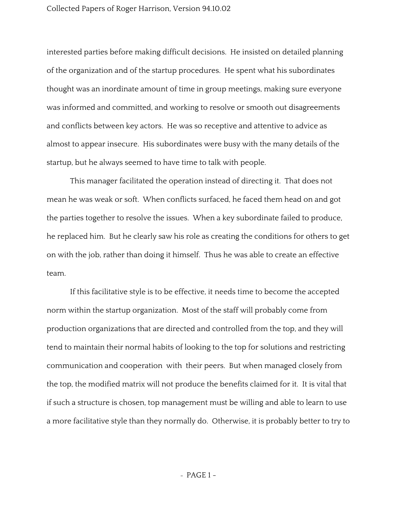interested parties before making difficult decisions. He insisted on detailed planning of the organization and of the startup procedures. He spent what his subordinates thought was an inordinate amount of time in group meetings, making sure everyone was informed and committed, and working to resolve or smooth out disagreements and conflicts between key actors. He was so receptive and attentive to advice as almost to appear insecure. His subordinates were busy with the many details of the startup, but he always seemed to have time to talk with people.

This manager facilitated the operation instead of directing it. That does not mean he was weak or soft. When conflicts surfaced, he faced them head on and got the parties together to resolve the issues. When a key subordinate failed to produce, he replaced him. But he clearly saw his role as creating the conditions for others to get on with the job, rather than doing it himself. Thus he was able to create an effective team.

If this facilitative style is to be effective, it needs time to become the accepted norm within the startup organization. Most of the staff will probably come from production organizations that are directed and controlled from the top, and they will tend to maintain their normal habits of looking to the top for solutions and restricting communication and cooperation with their peers. But when managed closely from the top, the modified matrix will not produce the benefits claimed for it. It is vital that if such a structure is chosen, top management must be willing and able to learn to use a more facilitative style than they normally do. Otherwise, it is probably better to try to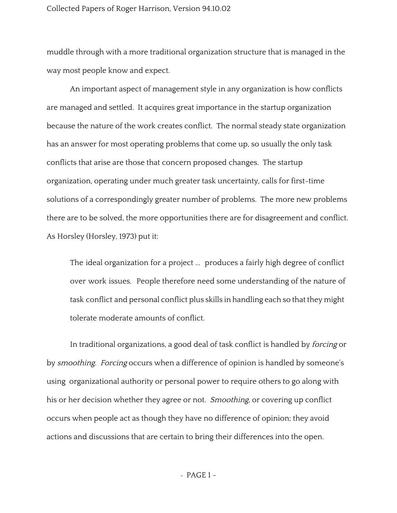muddle through with a more traditional organization structure that is managed in the way most people know and expect.

An important aspect of management style in any organization is how conflicts are managed and settled. It acquires great importance in the startup organization because the nature of the work creates conflict. The normal steady state organization has an answer for most operating problems that come up, so usually the only task conflicts that arise are those that concern proposed changes. The startup organization, operating under much greater task uncertainty, calls for first-time solutions of a correspondingly greater number of problems. The more new problems there are to be solved, the more opportunities there are for disagreement and conflict. As Horsley (Horsley, 1973) put it:

The ideal organization for a project ... produces a fairly high degree of conflict over work issues. People therefore need some understanding of the nature of task conflict and personal conflict plus skills in handling each so that they might tolerate moderate amounts of conflict.

In traditional organizations, a good deal of task conflict is handled by forcing or by *smoothing. Forcing* occurs when a difference of opinion is handled by someone's using organizational authority or personal power to require others to go along with his or her decision whether they agree or not. Smoothing, or covering up conflict occurs when people act as though they have no difference of opinion; they avoid actions and discussions that are certain to bring their differences into the open.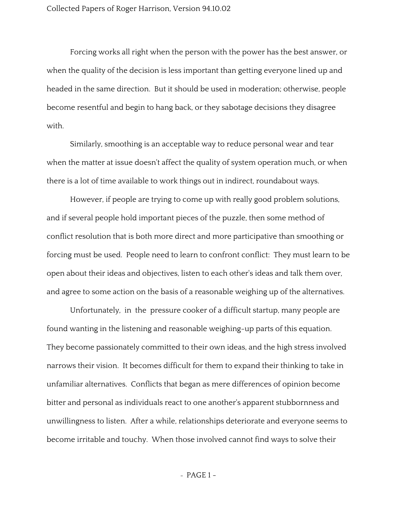Forcing works all right when the person with the power has the best answer, or when the quality of the decision is less important than getting everyone lined up and headed in the same direction. But it should be used in moderation; otherwise, people become resentful and begin to hang back, or they sabotage decisions they disagree with.

Similarly, smoothing is an acceptable way to reduce personal wear and tear when the matter at issue doesn't affect the quality of system operation much, or when there is a lot of time available to work things out in indirect, roundabout ways.

However, if people are trying to come up with really good problem solutions, and if several people hold important pieces of the puzzle, then some method of conflict resolution that is both more direct and more participative than smoothing or forcing must be used. People need to learn to confront conflict: They must learn to be open about their ideas and objectives, listen to each other's ideas and talk them over, and agree to some action on the basis of a reasonable weighing up of the alternatives.

Unfortunately, in the pressure cooker of a difficult startup, many people are found wanting in the listening and reasonable weighing-up parts of this equation. They become passionately committed to their own ideas, and the high stress involved narrows their vision. It becomes difficult for them to expand their thinking to take in unfamiliar alternatives. Conflicts that began as mere differences of opinion become bitter and personal as individuals react to one another's apparent stubbornness and unwillingness to listen. After a while, relationships deteriorate and everyone seems to become irritable and touchy. When those involved cannot find ways to solve their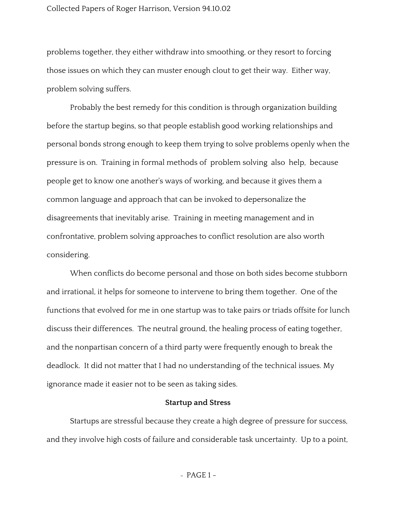problems together, they either withdraw into smoothing, or they resort to forcing those issues on which they can muster enough clout to get their way. Either way, problem solving suffers.

Probably the best remedy for this condition is through organization building before the startup begins, so that people establish good working relationships and personal bonds strong enough to keep them trying to solve problems openly when the pressure is on. Training in formal methods of problem solving also help, because people get to know one another's ways of working, and because it gives them a common language and approach that can be invoked to depersonalize the disagreements that inevitably arise. Training in meeting management and in confrontative, problem solving approaches to conflict resolution are also worth considering.

When conflicts do become personal and those on both sides become stubborn and irrational, it helps for someone to intervene to bring them together. One of the functions that evolved for me in one startup was to take pairs or triads offsite for lunch discuss their differences. The neutral ground, the healing process of eating together, and the nonpartisan concern of a third party were frequently enough to break the deadlock. It did not matter that I had no understanding of the technical issues. My ignorance made it easier not to be seen as taking sides.

# **Startup and Stress**

Startups are stressful because they create a high degree of pressure for success, and they involve high costs of failure and considerable task uncertainty. Up to a point,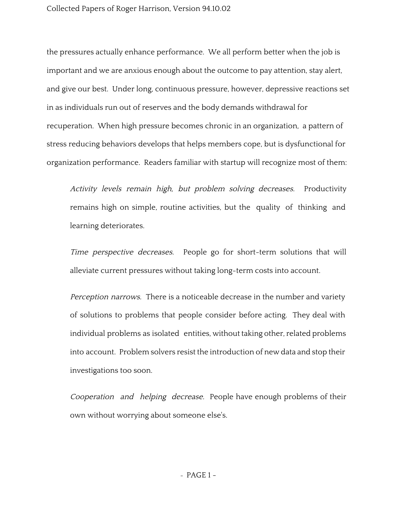the pressures actually enhance performance. We all perform better when the job is important and we are anxious enough about the outcome to pay attention, stay alert, and give our best. Under long, continuous pressure, however, depressive reactions set in as individuals run out of reserves and the body demands withdrawal for recuperation. When high pressure becomes chronic in an organization, a pattern of stress reducing behaviors develops that helps members cope, but is dysfunctional for organization performance. Readers familiar with startup will recognize most of them:

Activity levels remain high, but problem solving decreases. Productivity remains high on simple, routine activities, but the quality of thinking and learning deteriorates.

Time perspective decreases. People go for short-term solutions that will alleviate current pressures without taking long-term costs into account.

Perception narrows. There is a noticeable decrease in the number and variety of solutions to problems that people consider before acting. They deal with individual problems as isolated entities, without taking other, related problems into account. Problem solvers resist the introduction of new data and stop their investigations too soon.

Cooperation and helping decrease. People have enough problems of their own without worrying about someone else's.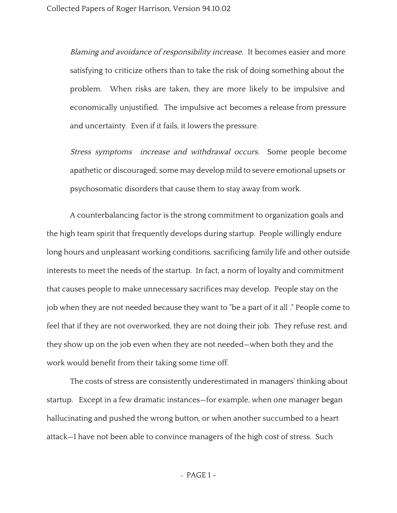Blaming and avoidance of responsibility increase. It becomes easier and more satisfying to criticize others than to take the risk of doing something about the problem. When risks are taken, they are more likely to be impulsive and economically unjustified. The impulsive act becomes a release from pressure and uncertainty. Even if it fails, it lowers the pressure.

Stress symptoms increase and withdrawal occurs. Some people become apathetic or discouraged; some may develop mild to severe emotional upsets or psychosomatic disorders that cause them to stay away from work.

A counterbalancing factor is the strong commitment to organization goals and the high team spirit that frequently develops during startup. People willingly endure long hours and unpleasant working conditions, sacrificing family life and other outside interests to meet the needs of the startup. In fact, a norm of loyalty and commitment that causes people to make unnecessary sacrifices may develop. People stay on the job when they are not needed because they want to "be a part of it all ." People come to feel that if they are not overworked, they are not doing their job. They refuse rest, and they show up on the job even when they are not needed—when both they and the work would benefit from their taking some time off.

The costs of stress are consistently underestimated in managers' thinking about startup. Except in a few dramatic instances—for example, when one manager began hallucinating and pushed the wrong button, or when another succumbed to a heart attack—I have not been able to convince managers of the high cost of stress. Such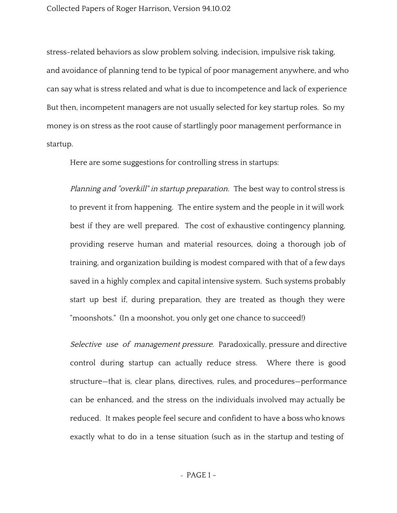stress-related behaviors as slow problem solving, indecision, impulsive risk taking, and avoidance of planning tend to be typical of poor management anywhere, and who can say what is stress related and what is due to incompetence and lack of experience But then, incompetent managers are not usually selected for key startup roles. So my money is on stress as the root cause of startlingly poor management performance in startup.

Here are some suggestions for controlling stress in startups:

Planning and "overkill" in startup preparation. The best way to control stress is to prevent it from happening. The entire system and the people in it will work best if they are well prepared. The cost of exhaustive contingency planning, providing reserve human and material resources, doing a thorough job of training, and organization building is modest compared with that of a few days saved in a highly complex and capital intensive system. Such systems probably start up best if, during preparation, they are treated as though they were "moonshots." (In a moonshot, you only get one chance to succeed!)

Selective use of management pressure. Paradoxically, pressure and directive control during startup can actually reduce stress. Where there is good structure—that is, clear plans, directives, rules, and procedures—performance can be enhanced, and the stress on the individuals involved may actually be reduced. It makes people feel secure and confident to have a boss who knows exactly what to do in a tense situation (such as in the startup and testing of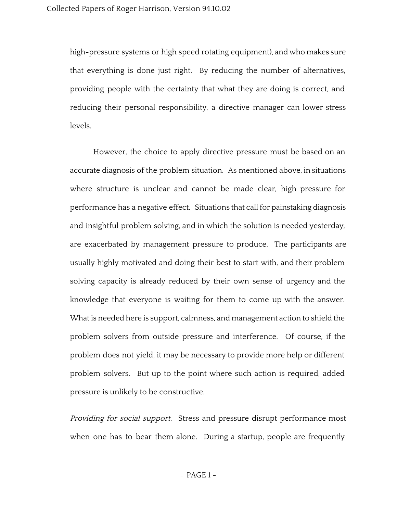high-pressure systems or high speed rotating equipment), and who makes sure that everything is done just right. By reducing the number of alternatives, providing people with the certainty that what they are doing is correct, and reducing their personal responsibility, a directive manager can lower stress levels.

However, the choice to apply directive pressure must be based on an accurate diagnosis of the problem situation. As mentioned above, in situations where structure is unclear and cannot be made clear, high pressure for performance has a negative effect. Situations that call for painstaking diagnosis and insightful problem solving, and in which the solution is needed yesterday, are exacerbated by management pressure to produce. The participants are usually highly motivated and doing their best to start with, and their problem solving capacity is already reduced by their own sense of urgency and the knowledge that everyone is waiting for them to come up with the answer. What is needed here is support, calmness, and management action to shield the problem solvers from outside pressure and interference. Of course, if the problem does not yield, it may be necessary to provide more help or different problem solvers. But up to the point where such action is required, added pressure is unlikely to be constructive.

Providing for social support. Stress and pressure disrupt performance most when one has to bear them alone. During a startup, people are frequently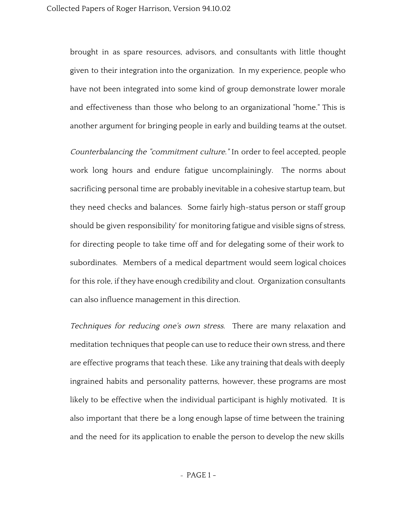brought in as spare resources, advisors, and consultants with little thought given to their integration into the organization. In my experience, people who have not been integrated into some kind of group demonstrate lower morale and effectiveness than those who belong to an organizational "home." This is another argument for bringing people in early and building teams at the outset.

Counterbalancing the "commitment culture." In order to feel accepted, people work long hours and endure fatigue uncomplainingly. The norms about sacrificing personal time are probably inevitable in a cohesive startup team, but they need checks and balances. Some fairly high-status person or staff group should be given responsibility' for monitoring fatigue and visible signs of stress, for directing people to take time off and for delegating some of their work to subordinates. Members of a medical department would seem logical choices for this role, if they have enough credibility and clout. Organization consultants can also influence management in this direction.

Techniques for reducing one's own stress. There are many relaxation and meditation techniques that people can use to reduce their own stress, and there are effective programs that teach these. Like any training that deals with deeply ingrained habits and personality patterns, however, these programs are most likely to be effective when the individual participant is highly motivated. It is also important that there be a long enough lapse of time between the training and the need for its application to enable the person to develop the new skills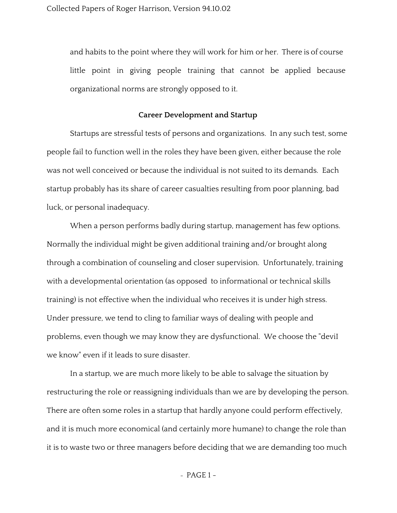and habits to the point where they will work for him or her. There is of course little point in giving people training that cannot be applied because organizational norms are strongly opposed to it.

# **Career Development and Startup**

Startups are stressful tests of persons and organizations. In any such test, some people fail to function well in the roles they have been given, either because the role was not well conceived or because the individual is not suited to its demands. Each startup probably has its share of career casualties resulting from poor planning, bad luck, or personal inadequacy.

When a person performs badly during startup, management has few options. Normally the individual might be given additional training and/or brought along through a combination of counseling and closer supervision. Unfortunately, training with a developmental orientation (as opposed to informational or technical skills training) is not effective when the individual who receives it is under high stress. Under pressure, we tend to cling to familiar ways of dealing with people and problems, even though we may know they are dysfunctional. We choose the "deviI we know" even if it leads to sure disaster.

In a startup, we are much more likely to be able to salvage the situation by restructuring the role or reassigning individuals than we are by developing the person. There are often some roles in a startup that hardly anyone could perform effectively, and it is much more economical (and certainly more humane) to change the role than it is to waste two or three managers before deciding that we are demanding too much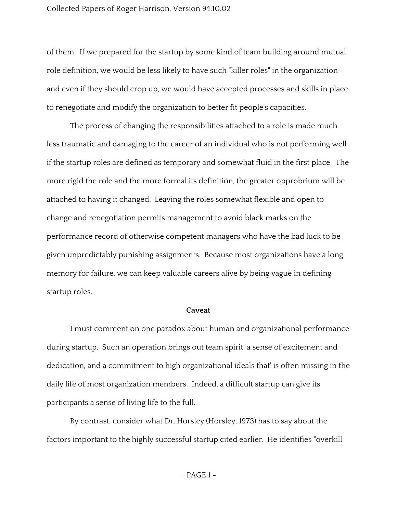of them. If we prepared for the startup by some kind of team building around mutual role definition, we would be less likely to have such "killer roles" in the organization and even if they should crop up, we would have accepted processes and skills in place to renegotiate and modify the organization to better fit people's capacities.

The process of changing the responsibilities attached to a role is made much less traumatic and damaging to the career of an individual who is not performing well if the startup roles are defined as temporary and somewhat fluid in the first place. The more rigid the role and the more formal its definition, the greater opprobrium will be attached to having it changed. Leaving the roles somewhat flexible and open to change and renegotiation permits management to avoid black marks on the performance record of otherwise competent managers who have the bad luck to be given unpredictably punishing assignments. Because most organizations have a long memory for failure, we can keep valuable careers alive by being vague in defining startup roles.

# **Caveat**

I must comment on one paradox about human and organizational performance during startup. Such an operation brings out team spirit, a sense of excitement and dedication, and a commitment to high organizational ideals that' is often missing in the daily life of most organization members. Indeed, a difficult startup can give its participants a sense of living life to the full.

By contrast, consider what Dr. Horsley (Horsley, 1973) has to say about the factors important to the highly successful startup cited earlier. He identifies "overkill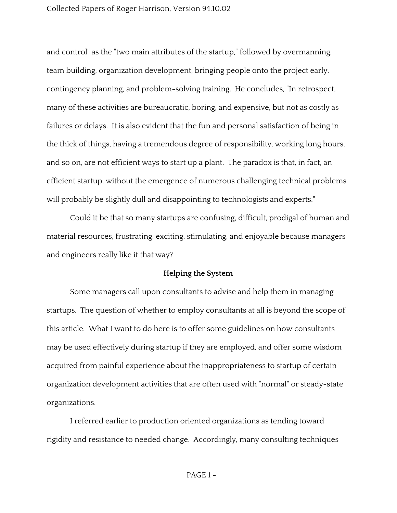and control" as the "two main attributes of the startup," followed by overmanning, team building, organization development, bringing people onto the project early, contingency planning, and problem-solving training. He concludes, "In retrospect, many of these activities are bureaucratic, boring, and expensive, but not as costly as failures or delays. It is also evident that the fun and personal satisfaction of being in the thick of things, having a tremendous degree of responsibility, working long hours, and so on, are not efficient ways to start up a plant. The paradox is that, in fact, an efficient startup, without the emergence of numerous challenging technical problems will probably be slightly dull and disappointing to technologists and experts."

Could it be that so many startups are confusing, difficult, prodigal of human and material resources, frustrating, exciting, stimulating, and enjoyable because managers and engineers really like it that way?

# **Helping the System**

Some managers call upon consultants to advise and help them in managing startups. The question of whether to employ consultants at all is beyond the scope of this article. What I want to do here is to offer some guidelines on how consultants may be used effectively during startup if they are employed, and offer some wisdom acquired from painful experience about the inappropriateness to startup of certain organization development activities that are often used with "normal" or steady-state organizations.

I referred earlier to production oriented organizations as tending toward rigidity and resistance to needed change. Accordingly, many consulting techniques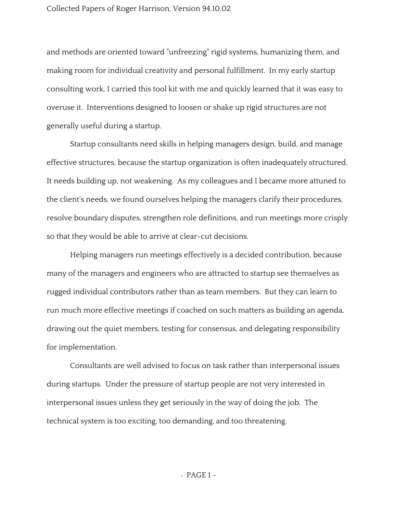and methods are oriented toward "unfreezing" rigid systems, humanizing them, and making room for individual creativity and personal fulfillment. In my early startup consulting work, I carried this tool kit with me and quickly learned that it was easy to overuse it. Interventions designed to loosen or shake up rigid structures are not generally useful during a startup.

Startup consultants need skills in helping managers design, build, and manage effective structures, because the startup organization is often inadequately structured. It needs building up, not weakening. As my colleagues and I became more attuned to the client's needs, we found ourselves helping the managers clarify their procedures, resolve boundary disputes, strengthen role definitions, and run meetings more crisply so that they would be able to arrive at clear-cut decisions.

Helping managers run meetings effectively is a decided contribution, because many of the managers and engineers who are attracted to startup see themselves as rugged individual contributors rather than as team members. But they can learn to run much more effective meetings if coached on such matters as building an agenda, drawing out the quiet members, testing for consensus, and delegating responsibility for implementation.

Consultants are well advised to focus on task rather than interpersonal issues during startups. Under the pressure of startup people are not very interested in interpersonal issues unless they get seriously in the way of doing the job. The technical system is too exciting, too demanding, and too threatening.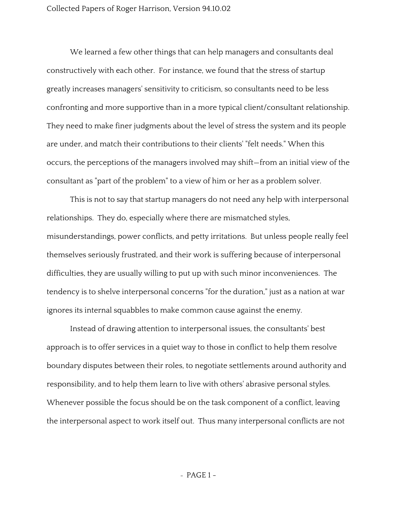We learned a few other things that can help managers and consultants deal constructively with each other. For instance, we found that the stress of startup greatly increases managers' sensitivity to criticism, so consultants need to be less confronting and more supportive than in a more typical client/consultant relationship. They need to make finer judgments about the level of stress the system and its people are under, and match their contributions to their clients' "felt needs." When this occurs, the perceptions of the managers involved may shift—from an initial view of the consultant as "part of the problem" to a view of him or her as a problem solver.

This is not to say that startup managers do not need any help with interpersonal relationships. They do, especially where there are mismatched styles, misunderstandings, power conflicts, and petty irritations. But unless people really feel themselves seriously frustrated, and their work is suffering because of interpersonal difficulties, they are usually willing to put up with such minor inconveniences. The tendency is to shelve interpersonal concerns "for the duration," just as a nation at war ignores its internal squabbles to make common cause against the enemy.

Instead of drawing attention to interpersonal issues, the consultants' best approach is to offer services in a quiet way to those in conflict to help them resolve boundary disputes between their roles, to negotiate settlements around authority and responsibility, and to help them learn to live with others' abrasive personal styles. Whenever possible the focus should be on the task component of a conflict, leaving the interpersonal aspect to work itself out. Thus many interpersonal conflicts are not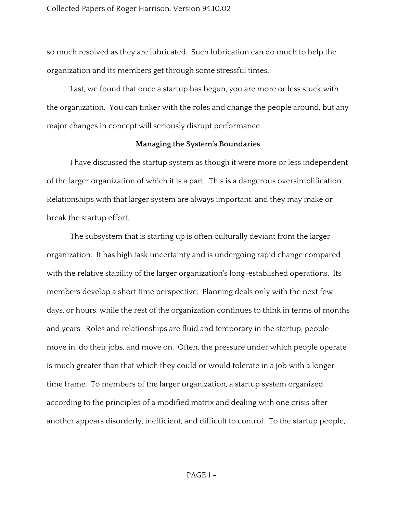so much resolved as they are lubricated. Such lubrication can do much to help the organization and its members get through some stressful times.

Last, we found that once a startup has begun, you are more or less stuck with the organization. You can tinker with the roles and change the people around, but any major changes in concept will seriously disrupt performance.

# **Managing the System's Boundaries**

I have discussed the startup system as though it were more or less independent of the larger organization of which it is a part. This is a dangerous oversimplification. Relationships with that larger system are always important, and they may make or break the startup effort.

The subsystem that is starting up is often culturally deviant from the larger organization. It has high task uncertainty and is undergoing rapid change compared with the relative stability of the larger organization's long-established operations. Its members develop a short time perspective: Planning deals only with the next few days, or hours, while the rest of the organization continues to think in terms of months and years. Roles and relationships are fluid and temporary in the startup; people move in, do their jobs, and move on. Often, the pressure under which people operate is much greater than that which they could or would tolerate in a job with a longer time frame. To members of the larger organization, a startup system organized according to the principles of a modified matrix and dealing with one crisis after another appears disorderly, inefficient, and difficult to control. To the startup people,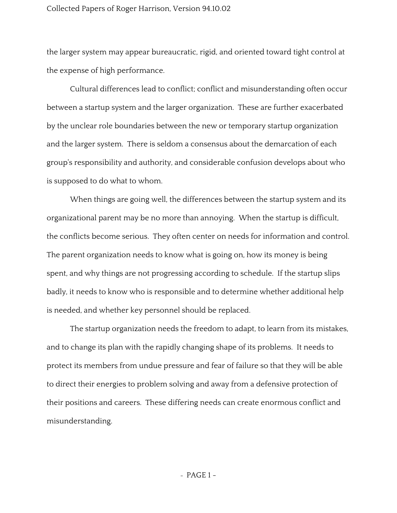the larger system may appear bureaucratic, rigid, and oriented toward tight control at the expense of high performance.

Cultural differences lead to conflict; conflict and misunderstanding often occur between a startup system and the larger organization. These are further exacerbated by the unclear role boundaries between the new or temporary startup organization and the larger system. There is seldom a consensus about the demarcation of each group's responsibility and authority, and considerable confusion develops about who is supposed to do what to whom.

When things are going well, the differences between the startup system and its organizational parent may be no more than annoying. When the startup is difficult, the conflicts become serious. They often center on needs for information and control. The parent organization needs to know what is going on, how its money is being spent, and why things are not progressing according to schedule. If the startup slips badly, it needs to know who is responsible and to determine whether additional help is needed, and whether key personnel should be replaced.

The startup organization needs the freedom to adapt, to learn from its mistakes, and to change its plan with the rapidly changing shape of its problems. It needs to protect its members from undue pressure and fear of failure so that they will be able to direct their energies to problem solving and away from a defensive protection of their positions and careers. These differing needs can create enormous conflict and misunderstanding.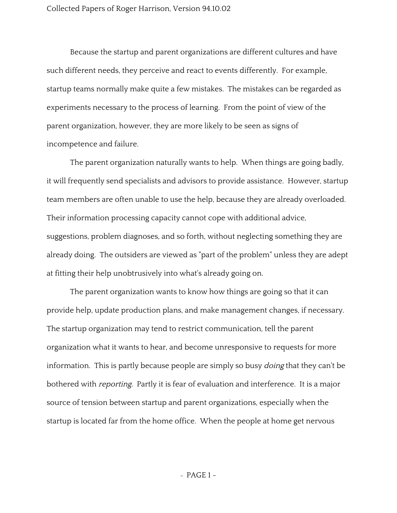Because the startup and parent organizations are different cultures and have such different needs, they perceive and react to events differently. For example, startup teams normally make quite a few mistakes. The mistakes can be regarded as experiments necessary to the process of learning. From the point of view of the parent organization, however, they are more likely to be seen as signs of incompetence and failure.

The parent organization naturally wants to help. When things are going badly, it will frequently send specialists and advisors to provide assistance. However, startup team members are often unable to use the help, because they are already overloaded. Their information processing capacity cannot cope with additional advice, suggestions, problem diagnoses, and so forth, without neglecting something they are already doing. The outsiders are viewed as "part of the problem" unless they are adept at fitting their help unobtrusively into what's already going on.

The parent organization wants to know how things are going so that it can provide help, update production plans, and make management changes, if necessary. The startup organization may tend to restrict communication, tell the parent organization what it wants to hear, and become unresponsive to requests for more information. This is partly because people are simply so busy *doing* that they can't be bothered with *reporting*. Partly it is fear of evaluation and interference. It is a major source of tension between startup and parent organizations, especially when the startup is located far from the home office. When the people at home get nervous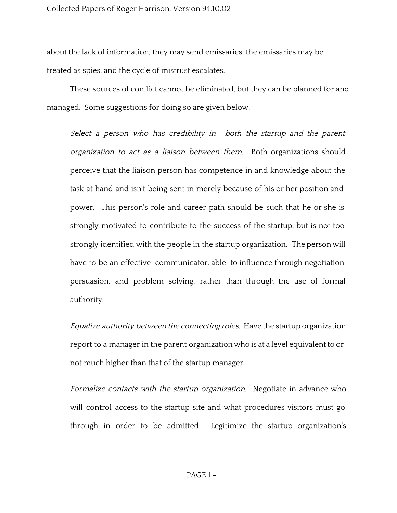about the lack of information, they may send emissaries; the emissaries may be treated as spies, and the cycle of mistrust escalates.

These sources of conflict cannot be eliminated, but they can be planned for and managed. Some suggestions for doing so are given below.

Select <sup>a</sup> person who has credibility in both the startup and the parent organization to act as <sup>a</sup> liaison between them. Both organizations should perceive that the liaison person has competence in and knowledge about the task at hand and isn't being sent in merely because of his or her position and power. This person's role and career path should be such that he or she is strongly motivated to contribute to the success of the startup, but is not too strongly identified with the people in the startup organization. The person will have to be an effective communicator, able to influence through negotiation, persuasion, and problem solving, rather than through the use of formal authority.

Equalize authority between the connecting roles. Have the startup organization report to a manager in the parent organization who is at a level equivalent to or not much higher than that of the startup manager.

Formalize contacts with the startup organization. Negotiate in advance who will control access to the startup site and what procedures visitors must go through in order to be admitted. Legitimize the startup organization's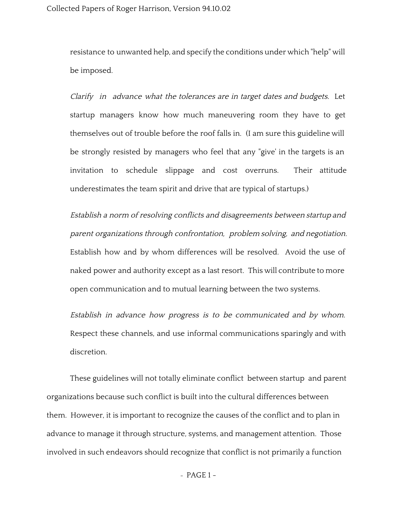resistance to unwanted help, and specify the conditions under which "help" will be imposed.

Clarify in advance what the tolerances are in target dates and budgets. Let startup managers know how much maneuvering room they have to get themselves out of trouble before the roof falls in. (I am sure this guideline will be strongly resisted by managers who feel that any "give' in the targets is an invitation to schedule slippage and cost overruns. Their attitude underestimates the team spirit and drive that are typical of startups.)

Establish <sup>a</sup> norm of resolving conflicts and disagreements between startup and parent organizations through confrontation, problem solving, and negotiation. Establish how and by whom differences will be resolved. Avoid the use of naked power and authority except as a last resort. This will contribute to more open communication and to mutual learning between the two systems.

Establish in advance how progress is to be communicated and by whom. Respect these channels, and use informal communications sparingly and with discretion.

These guidelines will not totally eliminate conflict between startup and parent organizations because such conflict is built into the cultural differences between them. However, it is important to recognize the causes of the conflict and to plan in advance to manage it through structure, systems, and management attention. Those involved in such endeavors should recognize that conflict is not primarily a function

- PAGE 1 -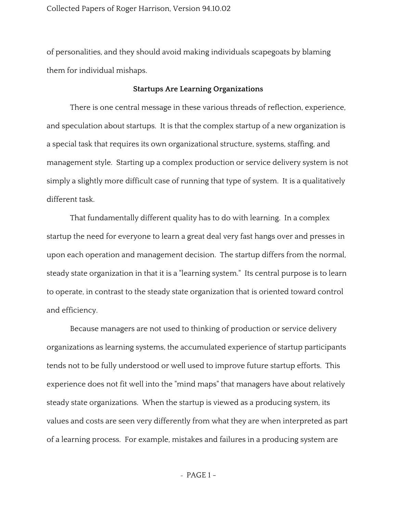of personalities, and they should avoid making individuals scapegoats by blaming them for individual mishaps.

# **Startups Are Learning Organizations**

There is one central message in these various threads of reflection, experience, and speculation about startups. It is that the complex startup of a new organization is a special task that requires its own organizational structure, systems, staffing, and management style. Starting up a complex production or service delivery system is not simply a slightly more difficult case of running that type of system. It is a qualitatively different task.

That fundamentally different quality has to do with learning. In a complex startup the need for everyone to learn a great deal very fast hangs over and presses in upon each operation and management decision. The startup differs from the normal, steady state organization in that it is a "learning system." Its central purpose is to learn to operate, in contrast to the steady state organization that is oriented toward control and efficiency.

Because managers are not used to thinking of production or service delivery organizations as learning systems, the accumulated experience of startup participants tends not to be fully understood or well used to improve future startup efforts. This experience does not fit well into the "mind maps" that managers have about relatively steady state organizations. When the startup is viewed as a producing system, its values and costs are seen very differently from what they are when interpreted as part of a learning process. For example, mistakes and failures in a producing system are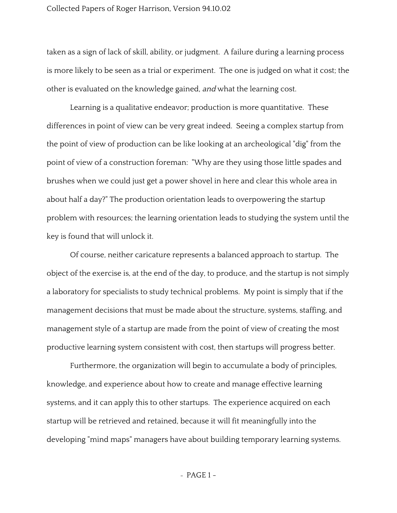taken as a sign of lack of skill, ability, or judgment. A failure during a learning process is more likely to be seen as a trial or experiment. The one is judged on what it cost; the other is evaluated on the knowledge gained, and what the learning cost.

Learning is a qualitative endeavor; production is more quantitative. These differences in point of view can be very great indeed. Seeing a complex startup from the point of view of production can be like looking at an archeological "dig" from the point of view of a construction foreman: "Why are they using those little spades and brushes when we could just get a power shovel in here and clear this whole area in about half a day?" The production orientation leads to overpowering the startup problem with resources; the learning orientation leads to studying the system until the key is found that will unlock it.

Of course, neither caricature represents a balanced approach to startup. The object of the exercise is, at the end of the day, to produce, and the startup is not simply a laboratory for specialists to study technical problems. My point is simply that if the management decisions that must be made about the structure, systems, staffing, and management style of a startup are made from the point of view of creating the most productive learning system consistent with cost, then startups will progress better.

Furthermore, the organization will begin to accumulate a body of principles, knowledge, and experience about how to create and manage effective learning systems, and it can apply this to other startups. The experience acquired on each startup will be retrieved and retained, because it will fit meaningfully into the developing "mind maps" managers have about building temporary learning systems.